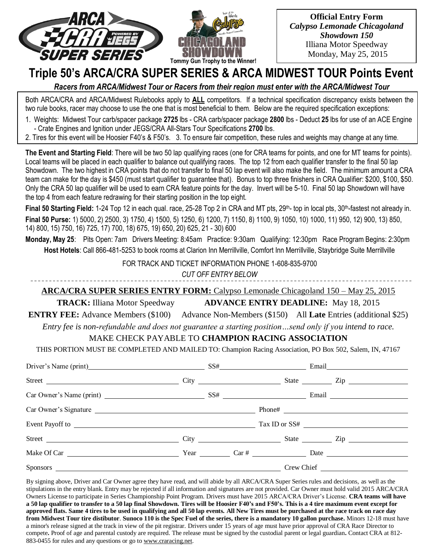



**Official Entry Form** *Calypso Lemonade Chicagoland Showdown 150* Illiana Motor Speedway Monday, May 25, 2015

# **Triple 50's ARCA/CRA SUPER SERIES & ARCA MIDWEST TOUR Points Event**

*Racers from ARCA/Midwest Tour or Racers from their region must enter with the ARCA/Midwest Tour*

Both ARCA/CRA and ARCA/Midwest Rulebooks apply to **ALL** competitors. If a technical specification discrepancy exists between the two rule books, racer may choose to use the one that is most beneficial to them. Below are the required specification exceptions:

1. Weights: Midwest Tour carb/spacer package **2725** lbs - CRA carb/spacer package **2800** lbs - Deduct **25** lbs for use of an ACE Engine - Crate Engines and Ignition under JEGS/CRA All-Stars Tour Specifications **2700** lbs.

2. Tires for this event will be Hoosier F40's & F50's. 3. To ensure fair competition, these rules and weights may change at any time.

**The Event and Starting Field**: There will be two 50 lap qualifying races (one for CRA teams for points, and one for MT teams for points). Local teams will be placed in each qualifier to balance out qualifying races. The top 12 from each qualifier transfer to the final 50 lap Showdown. The two highest in CRA points that do not transfer to final 50 lap event will also make the field. The minimum amount a CRA team can make for the day is \$450 (must start qualifier to guarantee that). Bonus to top three finishers in CRA Qualifier: \$200, \$100, \$50. Only the CRA 50 lap qualifier will be used to earn CRA feature points for the day. Invert will be 5-10. Final 50 lap Showdown will have the top 4 from each feature redrawing for their starting position in the top eight.

Final 50 Starting Field: 1-24 Top 12 in each qual. race, 25-28 Top 2 in CRA and MT pts, 29<sup>th</sup>- top in local pts, 30<sup>th</sup>-fastest not already in. **Final 50 Purse:** 1) 5000, 2) 2500, 3) 1750, 4) 1500, 5) 1250, 6) 1200, 7) 1150, 8) 1100, 9) 1050, 10) 1000, 11) 950, 12) 900, 13) 850, 14) 800, 15) 750, 16) 725, 17) 700, 18) 675, 19) 650, 20) 625, 21 - 30) 600

**Monday, May 25**: Pits Open: 7am Drivers Meeting: 8:45am Practice: 9:30am Qualifying: 12:30pm Race Program Begins: 2:30pm **Host Hotels**: Call 866-481-5253 to book rooms at Clarion Inn Merrillville, Comfort Inn Merrillville, Staybridge Suite Merrillville

FOR TRACK AND TICKET INFORMATION PHONE 1-608-835-9700

*CUT OFF ENTRY BELOW*

**ARCA/CRA SUPER SERIES ENTRY FORM:** Calypso Lemonade Chicagoland 150 – May 25, 2015

**TRACK:** Illiana Motor Speedway **ADVANCE ENTRY DEADLINE:** May 18, 2015

**ENTRY FEE:** Advance Members (\$100) Advance Non-Members (\$150) All **Late** Entries (additional \$25)

*Entry fee is non-refundable and does not guarantee a starting position…send only if you intend to race.*

## MAKE CHECK PAYABLE TO **CHAMPION RACING ASSOCIATION**

THIS PORTION MUST BE COMPLETED AND MAILED TO: Champion Racing Association, PO Box 502, Salem, IN, 47167

| Driver's Name (print) SS# Email Email       |  |  |  |
|---------------------------------------------|--|--|--|
| Street City City City State City State City |  |  |  |
|                                             |  |  |  |
|                                             |  |  |  |
|                                             |  |  |  |
|                                             |  |  |  |
|                                             |  |  |  |
| Sponsors                                    |  |  |  |

By signing above, Driver and Car Owner agree they have read, and will abide by all ARCA/CRA Super Series rules and decisions, as well as the stipulations in the entry blank. Entry may be rejected if all information and signatures are not provided. Car Owner must hold valid 2015 ARCA/CRA Owners License to participate in Series Championship Point Program. Drivers must have 2015 ARCA/CRA Driver's License. **CRA teams will have a 50 lap qualifier to transfer to a 50 lap final Showdown. Tires will be Hoosier F40's and F50's. This is a 4 tire maximum event except for approved flats. Same 4 tires to be used in qualifying and all 50 lap events. All New Tires must be purchased at the race track on race day from Midwest Tour tire distibutor**. **Sunoco 110 is the Spec Fuel of the series, there is a mandatory 10 gallon purchase.** Minors 12-18 must have a minor's release signed at the track in view of the pit registrar. Drivers under 15 years of age must have prior approval of CRA Race Director to compete**.** Proof of age and parental custody are required. The release must be signed by the custodial parent or legal guardian**.** Contact CRA at 812- 883-0455 for rules and any questions or go to [www.craracing.net.](http://www.craracing.net/)